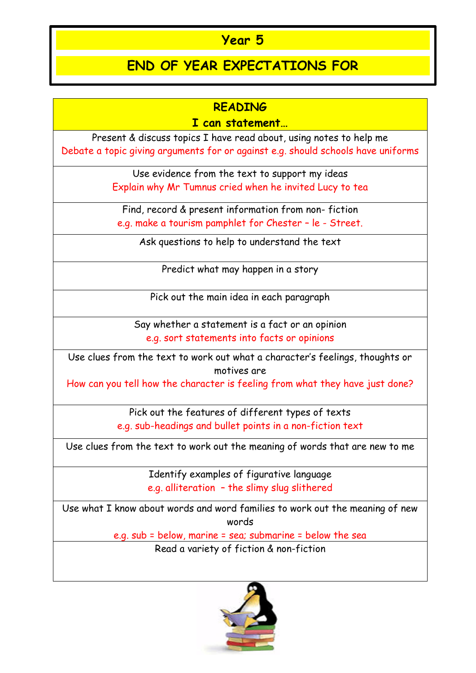## **Year 5**

## **END OF YEAR EXPECTATIONS FOR**

## **READING**

## **I can statement…**

Present & discuss topics I have read about, using notes to help me Debate a topic giving arguments for or against e.g. should schools have uniforms

> Use evidence from the text to support my ideas Explain why Mr Tumnus cried when he invited Lucy to tea

Find, record & present information from non- fiction e.g. make a tourism pamphlet for Chester – le - Street.

Ask questions to help to understand the text

Predict what may happen in a story

Pick out the main idea in each paragraph

Say whether a statement is a fact or an opinion e.g. sort statements into facts or opinions

Use clues from the text to work out what a character's feelings, thoughts or motives are

How can you tell how the character is feeling from what they have just done?

Pick out the features of different types of texts e.g. sub-headings and bullet points in a non-fiction text

Use clues from the text to work out the meaning of words that are new to me

Identify examples of figurative language e.g. alliteration – the slimy slug slithered

Use what I know about words and word families to work out the meaning of new words

> e.g. sub = below, marine = sea; submarine = below the sea Read a variety of fiction & non-fiction